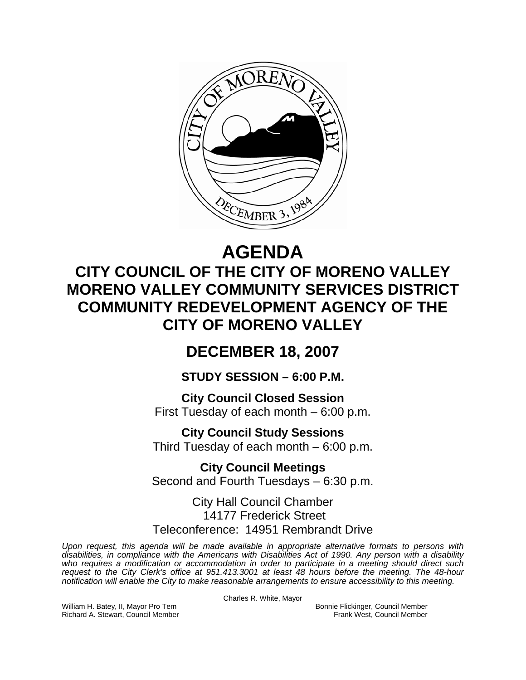

# **AGENDA**

## **CITY COUNCIL OF THE CITY OF MORENO VALLEY MORENO VALLEY COMMUNITY SERVICES DISTRICT COMMUNITY REDEVELOPMENT AGENCY OF THE CITY OF MORENO VALLEY**

### **DECEMBER 18, 2007**

**STUDY SESSION – 6:00 P.M.** 

**City Council Closed Session**  First Tuesday of each month – 6:00 p.m.

**City Council Study Sessions**  Third Tuesday of each month – 6:00 p.m.

**City Council Meetings**  Second and Fourth Tuesdays – 6:30 p.m.

City Hall Council Chamber 14177 Frederick Street Teleconference: 14951 Rembrandt Drive

*Upon request, this agenda will be made available in appropriate alternative formats to persons with disabilities, in compliance with the Americans with Disabilities Act of 1990. Any person with a disability*  who requires a modification or accommodation in order to participate in a meeting should direct such *request to the City Clerk's office at 951.413.3001 at least 48 hours before the meeting. The 48-hour notification will enable the City to make reasonable arrangements to ensure accessibility to this meeting.* 

Charles R. White, Mayor

William H. Batey, II, Mayor Pro Tem Bonnie Flickinger, Council Member Richard A. Stewart, Council Member **Frank West, Council Member** Frank West, Council Member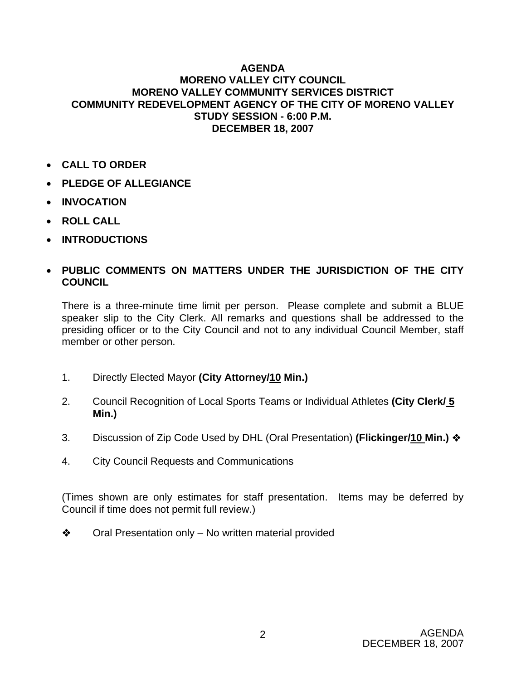#### **AGENDA MORENO VALLEY CITY COUNCIL MORENO VALLEY COMMUNITY SERVICES DISTRICT COMMUNITY REDEVELOPMENT AGENCY OF THE CITY OF MORENO VALLEY STUDY SESSION - 6:00 P.M. DECEMBER 18, 2007**

- **CALL TO ORDER**
- **PLEDGE OF ALLEGIANCE**
- **INVOCATION**
- **ROLL CALL**
- **INTRODUCTIONS**

#### • **PUBLIC COMMENTS ON MATTERS UNDER THE JURISDICTION OF THE CITY COUNCIL**

There is a three-minute time limit per person. Please complete and submit a BLUE speaker slip to the City Clerk. All remarks and questions shall be addressed to the presiding officer or to the City Council and not to any individual Council Member, staff member or other person.

- 1. Directly Elected Mayor **(City Attorney/10 Min.)**
- 2. Council Recognition of Local Sports Teams or Individual Athletes **(City Clerk/ 5 Min.)**
- 3. Discussion of Zip Code Used by DHL (Oral Presentation) **(Flickinger/10 Min.)**
- 4. City Council Requests and Communications

(Times shown are only estimates for staff presentation. Items may be deferred by Council if time does not permit full review.)

 $\bullet$  Oral Presentation only – No written material provided